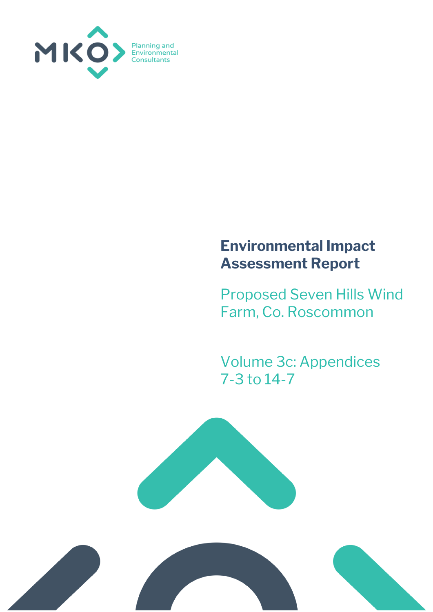

## **Environmental Impact Assessment Report**

Proposed Seven Hills Wind Farm, Co. Roscommon

Volume 3c: Appendices 7-3 to 14-7



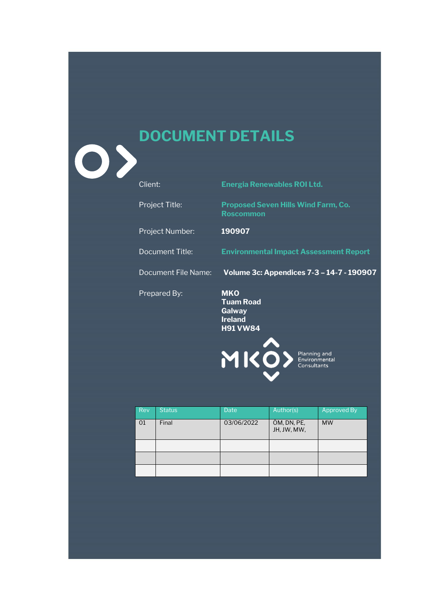## **DOCUMENT DETAILS**

| Client: |  |
|---------|--|
|         |  |

 $\langle$ 

**Energia Renewables ROI Ltd.** 

Project Title: **Proposed Seven Hills Wind Farm, Co. Roscommon**

Project Number: **190907**

Document Title: **Environmental Impact Assessment Report**

Document File Name: **Volume 3c: Appendices 7-3 – 14-7 - 190907**

Prepared By: **MKO**

**Tuam Road Galway Ireland H91 VW84**

MK Planning and<br>Environmental<br>Consultants

| <b>Rev</b> | <b>Status</b> | <b>Date</b> | Author(s)                  | <b>Approved By</b> |
|------------|---------------|-------------|----------------------------|--------------------|
| 01         | Final         | 03/06/2022  | ÓM, DN, PE,<br>JH, JW, MW, | <b>MW</b>          |
|            |               |             |                            |                    |
|            |               |             |                            |                    |
|            |               |             |                            |                    |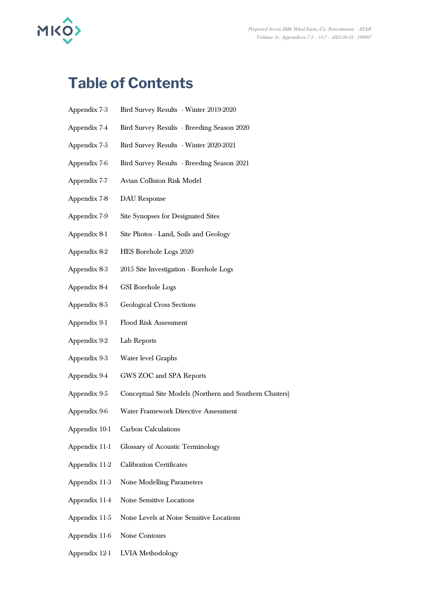

## **Table of Contents**

- Appendix 7-3 Bird Survey Results Winter 2019-2020
- Appendix 7-4 Bird Survey Results Breeding Season 2020
- Appendix 7-5 Bird Survey Results Winter 2020-2021
- Appendix 7-6 Bird Survey Results Breeding Season 2021
- Appendix 7-7 Avian Collision Risk Model
- Appendix 7-8 DAU Response
- Appendix 7-9 Site Synopses for Designated Sites
- Appendix 8-1 Site Photos Land, Soils and Geology
- Appendix 8-2 HES Borehole Logs 2020
- Appendix 8-3 2015 Site Investigation Borehole Logs
- Appendix 8-4 GSI Borehole Logs
- Appendix 8-5 Geological Cross Sections
- Appendix 9-1 Flood Risk Assessment
- Appendix 9-2 Lab Reports
- Appendix 9-3 Water level Graphs
- Appendix 9-4 GWS ZOC and SPA Reports
- Appendix 9-5 Conceptual Site Models (Northern and Southern Clusters)
- Appendix 9-6 Water Framework Directive Assessment
- Appendix 10-1 Carbon Calculations
- Appendix 11-1 Glossary of Acoustic Terminology
- Appendix 11-2 Calibration Certificates
- Appendix 11-3 Noise Modelling Parameters
- Appendix 11-4 Noise Sensitive Locations
- Appendix 11-5 Noise Levels at Noise Sensitive Locations
- Appendix 11-6 Noise Contours
- Appendix 12-1 LVIA Methodology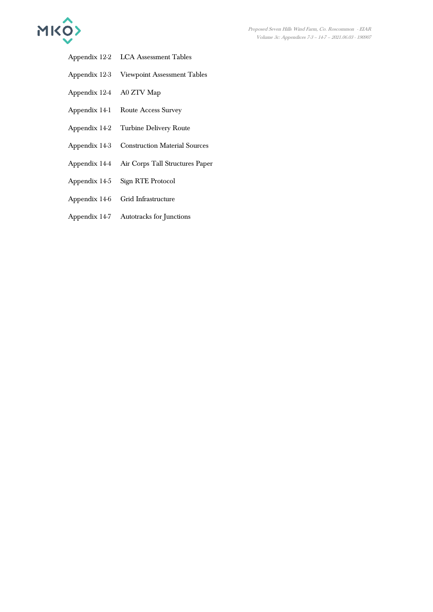

- Appendix 12-2 LCA Assessment Tables
- Appendix 12-3 Viewpoint Assessment Tables
- Appendix 12-4 A0 ZTV Map
- Appendix 14-1 Route Access Survey
- Appendix 14-2 Turbine Delivery Route
- Appendix 14-3 Construction Material Sources
- Appendix 14-4 Air Corps Tall Structures Paper
- Appendix 14-5 Sign RTE Protocol
- Appendix 14-6 Grid Infrastructure
- Appendix 14-7 Autotracks for Junctions